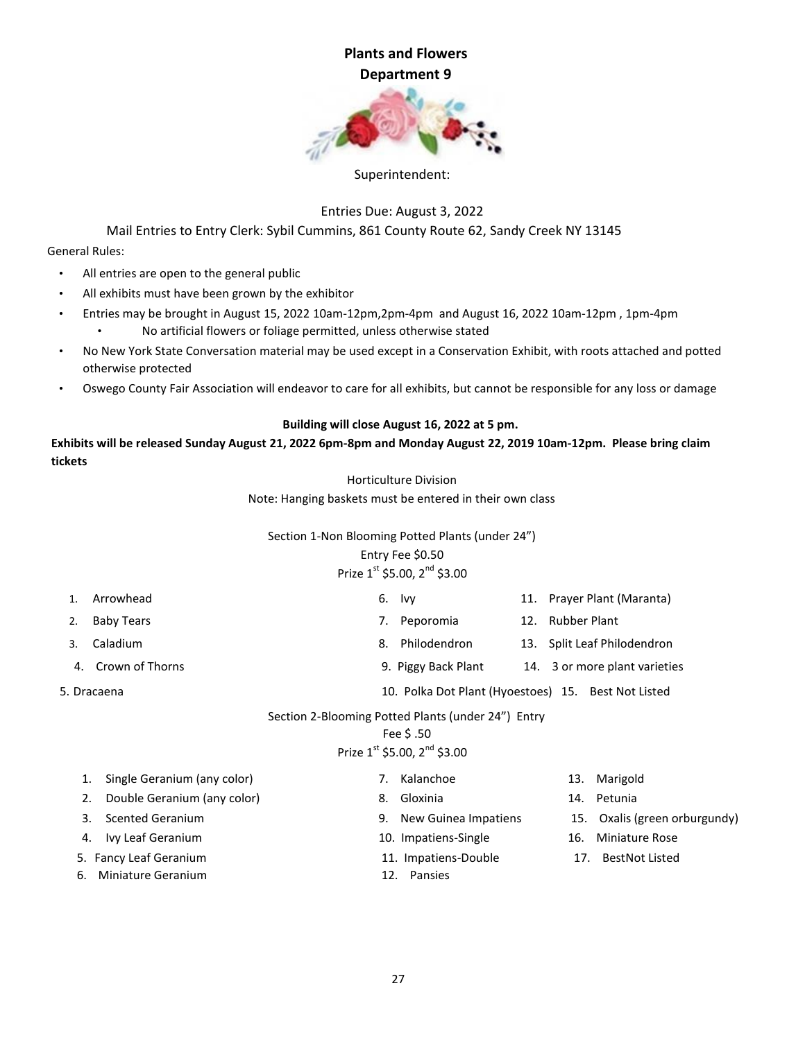

#### Superintendent:

Entries Due: August 3, 2022

Mail Entries to Entry Clerk: Sybil Cummins, 861 County Route 62, Sandy Creek NY 13145

General Rules:

- All entries are open to the general public
- All exhibits must have been grown by the exhibitor
- Entries may be brought in August 15, 2022 10am-12pm,2pm-4pm and August 16, 2022 10am-12pm , 1pm-4pm • No artificial flowers or foliage permitted, unless otherwise stated
- No New York State Conversation material may be used except in a Conservation Exhibit, with roots attached and potted otherwise protected
- Oswego County Fair Association will endeavor to care for all exhibits, but cannot be responsible for any loss or damage

#### **Building will close August 16, 2022 at 5 pm.**

**Exhibits will be released Sunday August 21, 2022 6pm-8pm and Monday August 22, 2019 10am-12pm. Please bring claim tickets** 

Horticulture Division

Note: Hanging baskets must be entered in their own class

#### Section 1-Non Blooming Potted Plants (under 24")

#### Entry Fee \$0.50

# Prize  $1^{st}$  \$5.00,  $2^{nd}$  \$3.00

|    | Arrowhead                                          | lvy                                                 | 11. Prayer Plant (Maranta)    |  |  |
|----|----------------------------------------------------|-----------------------------------------------------|-------------------------------|--|--|
|    | <b>Baby Tears</b>                                  | Peporomia<br>12.                                    | <b>Rubber Plant</b>           |  |  |
|    | Caladium                                           | Philodendron                                        | 13. Split Leaf Philodendron   |  |  |
| 4. | Crown of Thorns                                    | 9. Piggy Back Plant                                 | 14. 3 or more plant varieties |  |  |
|    | 5. Dracaena                                        | 10. Polka Dot Plant (Hyoestoes) 15. Best Not Listed |                               |  |  |
|    | Section 2-Blooming Potted Plants (under 24") Entry |                                                     |                               |  |  |

### Fee \$ .50

# Prize  $1^{st}$  \$5.00,  $2^{nd}$  \$3.00

| 1. | Single Geranium (any color) |     | Kalanchoe            | 13. | Marigold                      |
|----|-----------------------------|-----|----------------------|-----|-------------------------------|
| 2. | Double Geranium (any color) | 8.  | Gloxinia             | 14. | Petunia                       |
| 3. | <b>Scented Geranium</b>     | 9.  | New Guinea Impatiens |     | 15. Oxalis (green orburgundy) |
|    | 4. Ivy Leaf Geranium        |     | 10. Impatiens-Single | 16. | <b>Miniature Rose</b>         |
|    | 5. Fancy Leaf Geranium      |     | 11. Impatiens-Double | 17. | <b>BestNot Listed</b>         |
|    | 6. Miniature Geranium       | 12. | Pansies              |     |                               |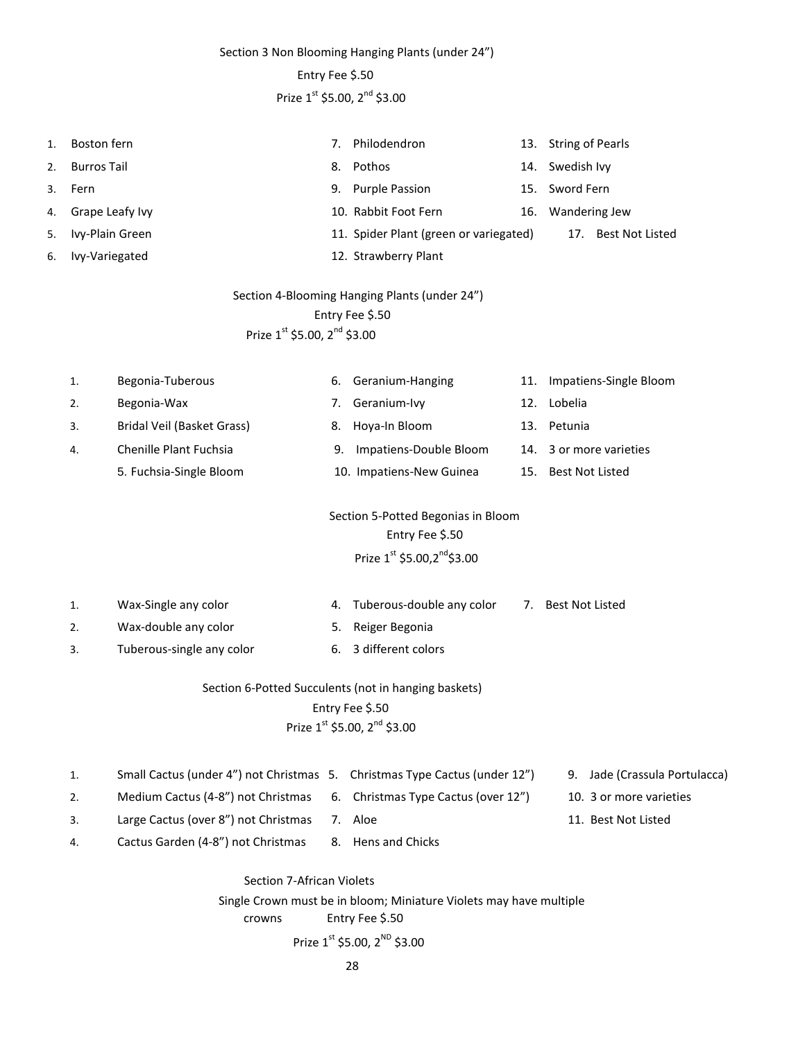Section 3 Non Blooming Hanging Plants (under 24")

#### Entry Fee \$.50

# Prize  $1^{\text{st}}$  \$5.00,  $2^{\text{nd}}$  \$3.00

| 1. | Boston fern                                   |                                          | 7. | Philodendron                                                                                          | 13. | <b>String of Pearls</b> |  |
|----|-----------------------------------------------|------------------------------------------|----|-------------------------------------------------------------------------------------------------------|-----|-------------------------|--|
| 2. | <b>Burros Tail</b>                            |                                          | 8. | Pothos                                                                                                | 14. | Swedish Ivy             |  |
| 3. | Fern                                          |                                          | 9. | <b>Purple Passion</b>                                                                                 | 15. | Sword Fern              |  |
| 4. | Grape Leafy Ivy                               |                                          |    | 10. Rabbit Foot Fern                                                                                  | 16. | Wandering Jew           |  |
| 5. | Ivy-Plain Green                               |                                          |    | 11. Spider Plant (green or variegated)                                                                |     | 17. Best Not Listed     |  |
| 6. | Ivy-Variegated                                |                                          |    | 12. Strawberry Plant                                                                                  |     |                         |  |
|    | Section 4-Blooming Hanging Plants (under 24") |                                          |    |                                                                                                       |     |                         |  |
|    |                                               |                                          |    | Entry Fee \$.50                                                                                       |     |                         |  |
|    |                                               | Prize 1st \$5.00, 2 <sup>nd</sup> \$3.00 |    |                                                                                                       |     |                         |  |
|    |                                               |                                          |    |                                                                                                       |     |                         |  |
|    | 1.                                            | Begonia-Tuberous                         | 6. | Geranium-Hanging                                                                                      | 11. | Impatiens-Single Bloom  |  |
|    | 2.                                            | Begonia-Wax                              | 7. | Geranium-Ivy                                                                                          | 12. | Lobelia                 |  |
|    | 3.                                            | Bridal Veil (Basket Grass)               | 8. | Hoya-In Bloom                                                                                         |     | 13. Petunia             |  |
|    | 4.                                            | Chenille Plant Fuchsia                   | 9. | Impatiens-Double Bloom                                                                                | 14. | 3 or more varieties     |  |
|    |                                               | 5. Fuchsia-Single Bloom                  |    | 10. Impatiens-New Guinea                                                                              | 15. | <b>Best Not Listed</b>  |  |
|    |                                               |                                          |    | Section 5-Potted Begonias in Bloom<br>Entry Fee \$.50<br>Prize $1^{st}$ \$5.00,2 <sup>nd</sup> \$3.00 |     |                         |  |
|    |                                               |                                          |    |                                                                                                       |     |                         |  |
|    | 1.                                            | Wax-Single any color                     | 4. | Tuberous-double any color                                                                             | 7.  | <b>Best Not Listed</b>  |  |
|    | 2.                                            | Wax-double any color                     | 5. | Reiger Begonia                                                                                        |     |                         |  |
|    | 3.                                            | Tuberous-single any color                | 6. | 3 different colors                                                                                    |     |                         |  |

# Section 6-Potted Succulents (not in hanging baskets) Entry Fee \$.50 Prize  $1^{st}$  \$5.00,  $2^{nd}$  \$3.00

| Small Cactus (under 4") not Christmas 5. Christmas Type Cactus (under 12") |         | 9. Jade (Crassula Portulacca) |
|----------------------------------------------------------------------------|---------|-------------------------------|
| Medium Cactus (4-8") not Christmas 6. Christmas Type Cactus (over 12")     |         | 10. 3 or more varieties       |
| Large Cactus (over 8") not Christmas                                       | 7. Aloe | 11. Best Not Listed           |

4. Cactus Garden (4-8") not Christmas 8. Hens and Chicks

Section 7-African Violets Single Crown must be in bloom; Miniature Violets may have multiple crowns Entry Fee \$.50 Prize  $1^{st}$  \$5.00,  $2^{ND}$  \$3.00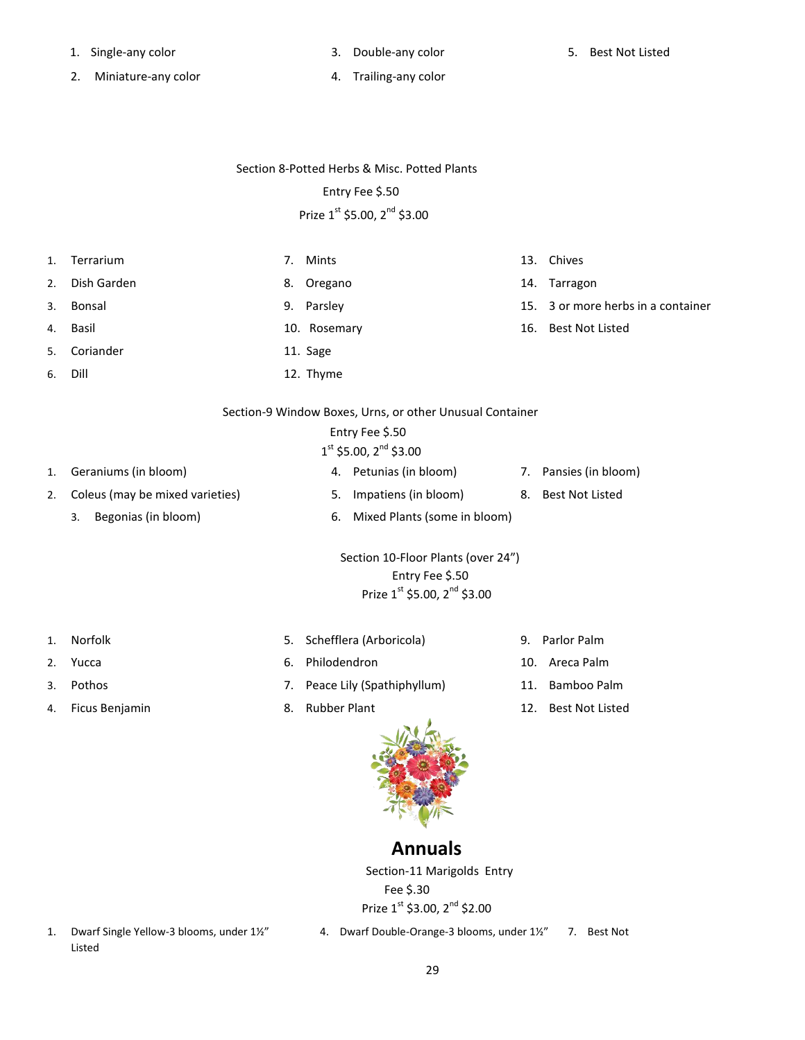- 1. Single-any color 3. Double-any color 5. Best Not Listed
	-

- 2. Miniature-any color 120 and 2. Trailing-any color
	-

#### Section 8-Potted Herbs & Misc. Potted Plants

#### Entry Fee \$.50

# Prize 1st \$5.00, 2<sup>nd</sup> \$3.00

- 1. Terrarium 13. Chives 13. Chives 13. Chives 13. Chives 13. Chives 13. Chives 2. Dish Garden 8. Oregano 14. Tarragon 3. Bonsal 9. Parsley 15. 3 or more herbs in a container 4. Basil 10. Rosemary 16. Best Not Listed 5. Coriander 11. Sage 6. Dill 12. Thyme Section-9 Window Boxes, Urns, or other Unusual Container Entry Fee \$.50 1  $1<sup>st</sup>$  \$5.00,  $2<sup>nd</sup>$  \$3.00 1. Geraniums (in bloom) 4. Petunias (in bloom) 7. Pansies (in bloom) 2. Coleus (may be mixed varieties) 5. Impatiens (in bloom) 8. Best Not Listed 3. Begonias (in bloom) 6. Mixed Plants (some in bloom) Section 10-Floor Plants (over 24") Entry Fee \$.50 Prize  $1^{\text{st}}$  \$5.00,  $2^{\text{nd}}$  \$3.00
- 
- 1. Norfolk 5. Schefflera (Arboricola) 9. Parlor Palm
- 2. Yucca 6. Philodendron 10. Areca Palm
- 3. Pothos 7. Peace Lily (Spathiphyllum) 11. Bamboo Palm
	- -

# **Annuals**

Section-11 Marigolds Entry Fee \$.30 Prize  $1^{st}$  \$3.00,  $2^{nd}$  \$2.00

- Listed
- 1. Dwarf Single Yellow-3 blooms, under 1½" 4. Dwarf Double-Orange-3 blooms, under 1½" 7. Best Not
- 
- 
- 
- 4. Ficus Benjamin 8. Rubber Plant 12. Best Not Listed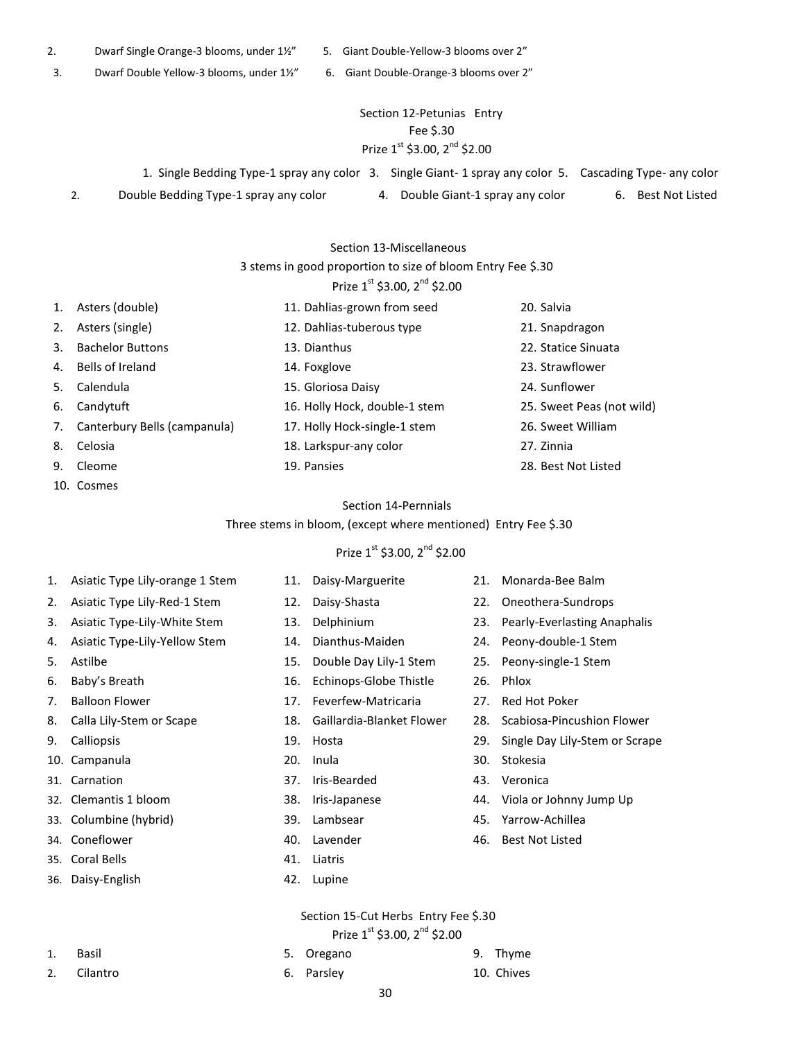- 2. Dwarf Single Orange-3 blooms, under 1½" 5. Giant Double-Yellow-3 blooms over 2"
- 3. Dwarf Double Yellow-3 blooms, under 1½" 6. Giant Double-Orange-3 blooms over 2"

## Section 12-Petunias Entry Fee \$.30 Prize  $1^{st}$  \$3.00,  $2^{nd}$  \$2.00

1. Single Bedding Type-1 spray any color 3. Single Giant- 1 spray any color 5. Cascading Type- any color 2. Double Bedding Type-1 spray any color **4.** Double Giant-1 spray any color 6. Best Not Listed

#### Section 13-Miscellaneous

### 3 stems in good proportion to size of bloom Entry Fee \$.30

# Prize  $1^{st}$  \$3.00,  $2^{nd}$  \$2.00

| 1. | Asters (double)              | 11. Dahlias-grown from seed   | 20. Salvia                |
|----|------------------------------|-------------------------------|---------------------------|
| 2. | Asters (single)              | 12. Dahlias-tuberous type     | 21. Snapdragon            |
| 3. | <b>Bachelor Buttons</b>      | 13. Dianthus                  | 22. Statice Sinuata       |
| 4. | Bells of Ireland             | 14. Foxglove                  | 23. Strawflower           |
| 5. | Calendula                    | 15. Gloriosa Daisy            | 24. Sunflower             |
| 6. | Candytuft                    | 16. Holly Hock, double-1 stem | 25. Sweet Peas (not wild) |
| 7. | Canterbury Bells (campanula) | 17. Holly Hock-single-1 stem  | 26. Sweet William         |
| 8. | Celosia                      | 18. Larkspur-any color        | 27. Zinnia                |
| 9. | Cleome                       | 19. Pansies                   | 28. Best Not Listed       |

10. Cosmes

#### Section 14-Pernnials

Three stems in bloom, (except where mentioned) Entry Fee \$.30

## Prize  $1^{st}$  \$3.00,  $2^{nd}$  \$2.00

- 1. Asiatic Type Lily-orange 1 Stem 11. Daisy-Marguerite 21. Monarda-Bee Balm
- 
- 
- 
- 
- 
- 
- 
- 
- 
- 
- 
- 
- 
- 35. Coral Bells 41. Liatris
- 36. Daisy-English 42. Lupine
- 
- 
- 2. Asiatic Type Lily-Red-1 Stem 12. Daisy-Shasta 22. Oneothera-Sundrops 3. Asiatic Type-Lily-White Stem 13. Delphinium 23. Pearly-Everlasting Anaphalis 4. Asiatic Type-Lily-Yellow Stem 14. Dianthus-Maiden 24. Peony-double-1 Stem 5. Astilbe 15. Double Day Lily-1 Stem 25. Peony-single-1 Stem 6. Baby's Breath 16. Echinops-Globe Thistle 26. Phlox 7. Balloon Flower 17. Feverfew-Matricaria 27. Red Hot Poker 8. Calla Lily-Stem or Scape 18. Gaillardia-Blanket Flower 28. Scabiosa-Pincushion Flower 9. Calliopsis 19. Hosta 29. Single Day Lily-Stem or Scrape 10. Campanula 20. Inula 30. Stokesia 31. Carnation 37. Iris-Bearded 43. Veronica 32. Clemantis 1 bloom 38. Iris-Japanese 44. Viola or Johnny Jump Up 33. Columbine (hybrid) 39. Lambsear 45. Yarrow-Achillea 34. Coneflower 40. Lavender 46. Best Not Listed
	-
	-

## Section 15-Cut Herbs Entry Fee \$.30 Prize  $1^{st}$  \$3.00,  $2^{nd}$  \$2.00

- 1. Basil 5. Oregano 9. Thyme
- 2. Cilantro 6. Parsley 10. Chives
	- 30
- -
	-
- 
- 
- 
- 
- 
- 
- 
-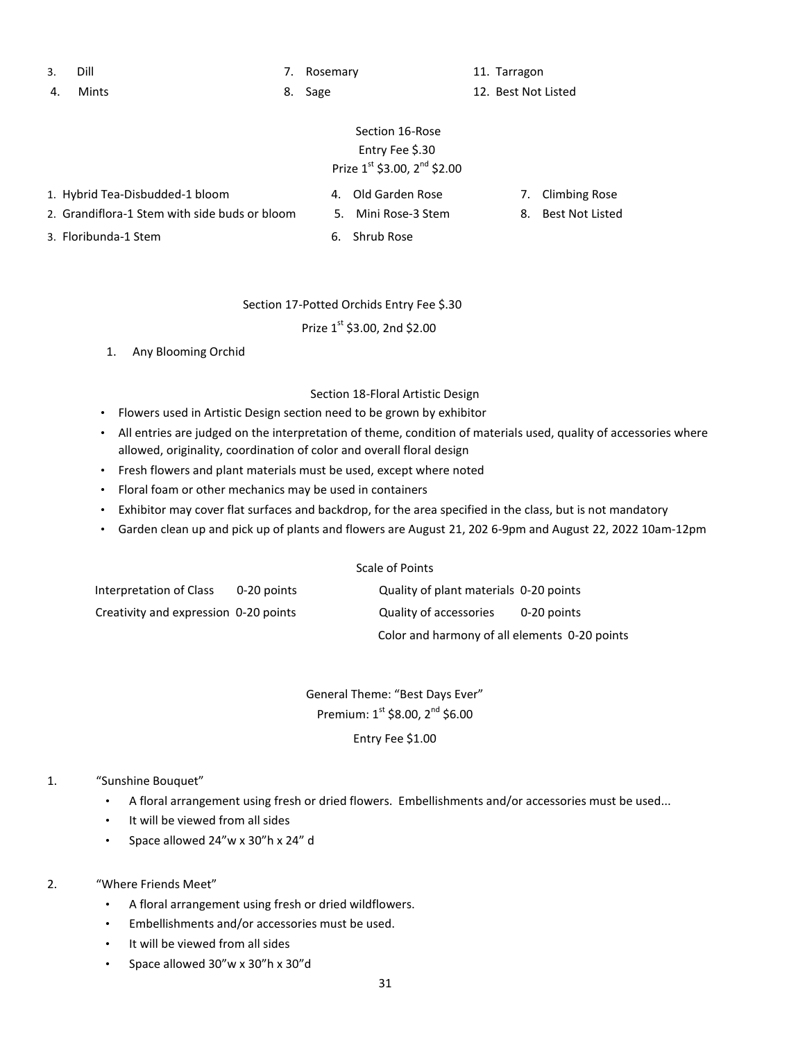3. Dill 7. Rosemary 11. Tarragon

4. Mints 6. Sage 12. Best Not Listed

# Section 16-Rose Entry Fee \$.30 Prize  $1^{st}$  \$3.00,  $2^{nd}$  \$2.00

- 1. Hybrid Tea-Disbudded-1 bloom 4. Old Garden Rose 7. Climbing Rose
- 2. Grandiflora-1 Stem with side buds or bloom 5. Mini Rose-3 Stem 8. Best Not Listed
	-
- 
- 
- 3. Floribunda-1 Stem 6. Shrub Rose

## Section 17-Potted Orchids Entry Fee \$.30

Prize  $1^{st}$  \$3.00, 2nd \$2.00

1. Any Blooming Orchid

### Section 18-Floral Artistic Design

- Flowers used in Artistic Design section need to be grown by exhibitor
- All entries are judged on the interpretation of theme, condition of materials used, quality of accessories where allowed, originality, coordination of color and overall floral design
- Fresh flowers and plant materials must be used, except where noted
- Floral foam or other mechanics may be used in containers
- Exhibitor may cover flat surfaces and backdrop, for the area specified in the class, but is not mandatory
- Garden clean up and pick up of plants and flowers are August 21, 202 6-9pm and August 22, 2022 10am-12pm

#### Scale of Points

| Interpretation of Class               | 0-20 points | Quality of plant materials 0-20 points        |             |
|---------------------------------------|-------------|-----------------------------------------------|-------------|
| Creativity and expression 0-20 points |             | Quality of accessories                        | 0-20 points |
|                                       |             | Color and harmony of all elements 0-20 points |             |

General Theme: "Best Days Ever" Premium:  $1^{st}$  \$8.00,  $2^{nd}$  \$6.00 Entry Fee \$1.00

## 1. "Sunshine Bouquet"

- A floral arrangement using fresh or dried flowers. Embellishments and/or accessories must be used...
- It will be viewed from all sides
- Space allowed 24"w x 30"h x 24" d
- 2. "Where Friends Meet"
	- A floral arrangement using fresh or dried wildflowers.
	- Embellishments and/or accessories must be used.
	- It will be viewed from all sides
	- Space allowed 30"w x 30"h x 30"d